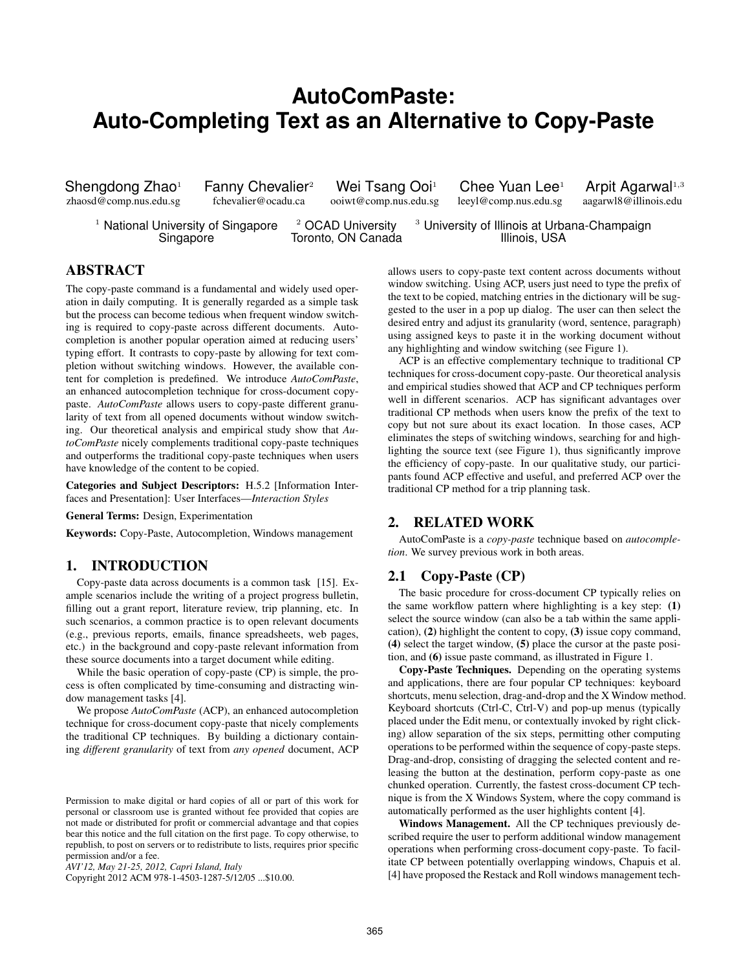# **AutoComPaste: Auto-Completing Text as an Alternative to Copy-Paste**

zhaosd@comp.nus.edu.sg

Shengdong Zhao<sup>1</sup> Fanny Chevalier<sup>2</sup> Wei Tsang Ooi<sup>1</sup> Chee Yuan Lee<sup>1</sup> Arpit Agarwal<sup>1,3</sup><br>zhaosd@comp.nus.edu.sg fchevalier@ocadu.ca ooiwt@comp.nus.edu.sg leeyl@comp.nus.edu.sg aagarwl8@illinois.edu

<sup>1</sup> National University of Singapore  $\frac{2}{3}$  OCAD University  $\frac{3}{3}$  University of Illinois at Urbana-Champaign Singapore **Toronto, ON Canada** Illinois, USA

# ABSTRACT

The copy-paste command is a fundamental and widely used operation in daily computing. It is generally regarded as a simple task but the process can become tedious when frequent window switching is required to copy-paste across different documents. Autocompletion is another popular operation aimed at reducing users' typing effort. It contrasts to copy-paste by allowing for text completion without switching windows. However, the available content for completion is predefined. We introduce *AutoComPaste*, an enhanced autocompletion technique for cross-document copypaste. *AutoComPaste* allows users to copy-paste different granularity of text from all opened documents without window switching. Our theoretical analysis and empirical study show that *AutoComPaste* nicely complements traditional copy-paste techniques and outperforms the traditional copy-paste techniques when users have knowledge of the content to be copied.

Categories and Subject Descriptors: H.5.2 [Information Interfaces and Presentation]: User Interfaces—*Interaction Styles*

General Terms: Design, Experimentation

Keywords: Copy-Paste, Autocompletion, Windows management

# 1. INTRODUCTION

Copy-paste data across documents is a common task [\[15\]](#page-7-0). Example scenarios include the writing of a project progress bulletin, filling out a grant report, literature review, trip planning, etc. In such scenarios, a common practice is to open relevant documents (e.g., previous reports, emails, finance spreadsheets, web pages, etc.) in the background and copy-paste relevant information from these source documents into a target document while editing.

While the basic operation of copy-paste (CP) is simple, the process is often complicated by time-consuming and distracting window management tasks [\[4\]](#page-7-1).

We propose *AutoComPaste* (ACP), an enhanced autocompletion technique for cross-document copy-paste that nicely complements the traditional CP techniques. By building a dictionary containing *different granularity* of text from *any opened* document, ACP

Copyright 2012 ACM 978-1-4503-1287-5/12/05 ...\$10.00.

allows users to copy-paste text content across documents without window switching. Using ACP, users just need to type the prefix of the text to be copied, matching entries in the dictionary will be suggested to the user in a pop up dialog. The user can then select the desired entry and adjust its granularity (word, sentence, paragraph) using assigned keys to paste it in the working document without any highlighting and window switching (see Figure 1).

ACP is an effective complementary technique to traditional CP techniques for cross-document copy-paste. Our theoretical analysis and empirical studies showed that ACP and CP techniques perform well in different scenarios. ACP has significant advantages over traditional CP methods when users know the prefix of the text to copy but not sure about its exact location. In those cases, ACP eliminates the steps of switching windows, searching for and highlighting the source text (see Figure [1\)](#page-1-0), thus significantly improve the efficiency of copy-paste. In our qualitative study, our participants found ACP effective and useful, and preferred ACP over the traditional CP method for a trip planning task.

# 2. RELATED WORK

AutoComPaste is a *copy-paste* technique based on *autocompletion*. We survey previous work in both areas.

# 2.1 Copy-Paste (CP)

The basic procedure for cross-document CP typically relies on the same workflow pattern where highlighting is a key step: (1) select the source window (can also be a tab within the same application), (2) highlight the content to copy, (3) issue copy command, (4) select the target window, (5) place the cursor at the paste position, and (6) issue paste command, as illustrated in Figure [1.](#page-1-0)

Copy-Paste Techniques. Depending on the operating systems and applications, there are four popular CP techniques: keyboard shortcuts, menu selection, drag-and-drop and the X Window method. Keyboard shortcuts (Ctrl-C, Ctrl-V) and pop-up menus (typically placed under the Edit menu, or contextually invoked by right clicking) allow separation of the six steps, permitting other computing operations to be performed within the sequence of copy-paste steps. Drag-and-drop, consisting of dragging the selected content and releasing the button at the destination, perform copy-paste as one chunked operation. Currently, the fastest cross-document CP technique is from the X Windows System, where the copy command is automatically performed as the user highlights content [\[4\]](#page-7-1).

Windows Management. All the CP techniques previously described require the user to perform additional window management operations when performing cross-document copy-paste. To facilitate CP between potentially overlapping windows, Chapuis et al. [\[4\]](#page-7-1) have proposed the Restack and Roll windows management tech-

Permission to make digital or hard copies of all or part of this work for personal or classroom use is granted without fee provided that copies are not made or distributed for profit or commercial advantage and that copies bear this notice and the full citation on the first page. To copy otherwise, to republish, to post on servers or to redistribute to lists, requires prior specific permission and/or a fee.

*AVI'12, May 21-25, 2012, Capri Island, Italy*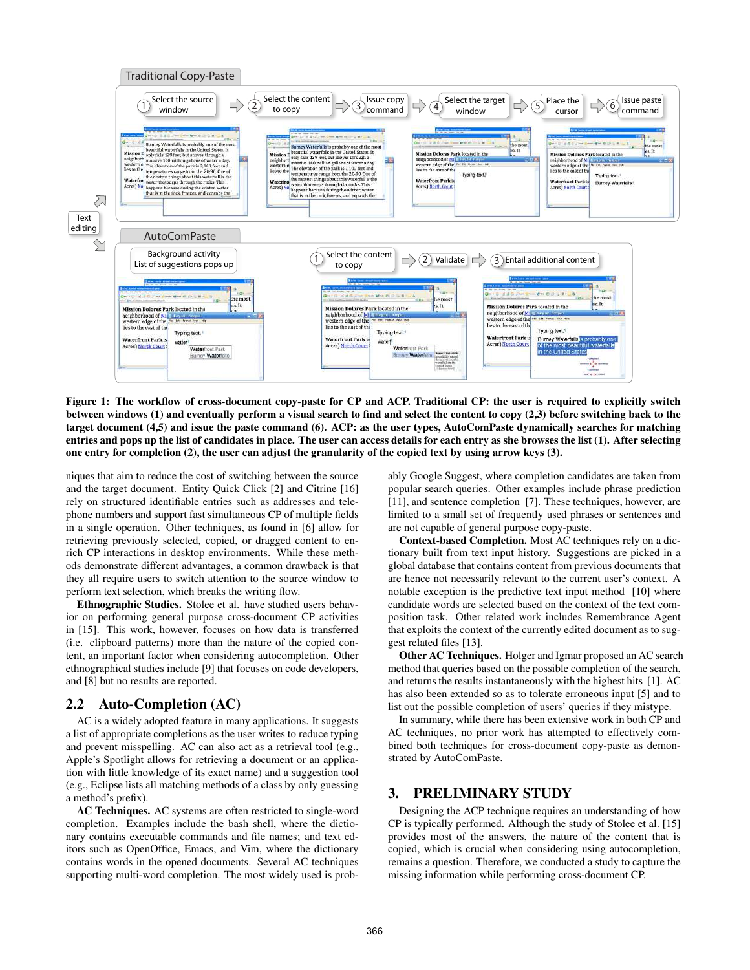

<span id="page-1-0"></span>Figure 1: The workflow of cross-document copy-paste for CP and ACP. Traditional CP: the user is required to explicitly switch between windows (1) and eventually perform a visual search to find and select the content to copy (2,3) before switching back to the target document (4,5) and issue the paste command (6). ACP: as the user types, AutoComPaste dynamically searches for matching entries and pops up the list of candidates in place. The user can access details for each entry as she browses the list (1). After selecting one entry for completion (2), the user can adjust the granularity of the copied text by using arrow keys (3).

niques that aim to reduce the cost of switching between the source and the target document. Entity Quick Click [\[2\]](#page-7-2) and Citrine [\[16\]](#page-7-3) rely on structured identifiable entries such as addresses and telephone numbers and support fast simultaneous CP of multiple fields in a single operation. Other techniques, as found in [\[6\]](#page-7-4) allow for retrieving previously selected, copied, or dragged content to enrich CP interactions in desktop environments. While these methods demonstrate different advantages, a common drawback is that they all require users to switch attention to the source window to perform text selection, which breaks the writing flow.

Ethnographic Studies. Stolee et al. have studied users behavior on performing general purpose cross-document CP activities in [\[15\]](#page-7-0). This work, however, focuses on how data is transferred (i.e. clipboard patterns) more than the nature of the copied content, an important factor when considering autocompletion. Other ethnographical studies include [\[9\]](#page-7-5) that focuses on code developers, and [\[8\]](#page-7-6) but no results are reported.

# 2.2 Auto-Completion (AC)

AC is a widely adopted feature in many applications. It suggests a list of appropriate completions as the user writes to reduce typing and prevent misspelling. AC can also act as a retrieval tool (e.g., Apple's Spotlight allows for retrieving a document or an application with little knowledge of its exact name) and a suggestion tool (e.g., Eclipse lists all matching methods of a class by only guessing a method's prefix).

AC Techniques. AC systems are often restricted to single-word completion. Examples include the bash shell, where the dictionary contains executable commands and file names; and text editors such as OpenOffice, Emacs, and Vim, where the dictionary contains words in the opened documents. Several AC techniques supporting multi-word completion. The most widely used is probably Google Suggest, where completion candidates are taken from popular search queries. Other examples include phrase prediction [\[11\]](#page-7-7), and sentence completion [\[7\]](#page-7-8). These techniques, however, are limited to a small set of frequently used phrases or sentences and are not capable of general purpose copy-paste.

Context-based Completion. Most AC techniques rely on a dictionary built from text input history. Suggestions are picked in a global database that contains content from previous documents that are hence not necessarily relevant to the current user's context. A notable exception is the predictive text input method [\[10\]](#page-7-9) where candidate words are selected based on the context of the text composition task. Other related work includes Remembrance Agent that exploits the context of the currently edited document as to suggest related files [\[13\]](#page-7-10).

Other AC Techniques. Holger and Igmar proposed an AC search method that queries based on the possible completion of the search, and returns the results instantaneously with the highest hits [\[1\]](#page-7-11). AC has also been extended so as to tolerate erroneous input [\[5\]](#page-7-12) and to list out the possible completion of users' queries if they mistype.

In summary, while there has been extensive work in both CP and AC techniques, no prior work has attempted to effectively combined both techniques for cross-document copy-paste as demonstrated by AutoComPaste.

## 3. PRELIMINARY STUDY

Designing the ACP technique requires an understanding of how CP is typically performed. Although the study of Stolee et al. [\[15\]](#page-7-0) provides most of the answers, the nature of the content that is copied, which is crucial when considering using autocompletion, remains a question. Therefore, we conducted a study to capture the missing information while performing cross-document CP.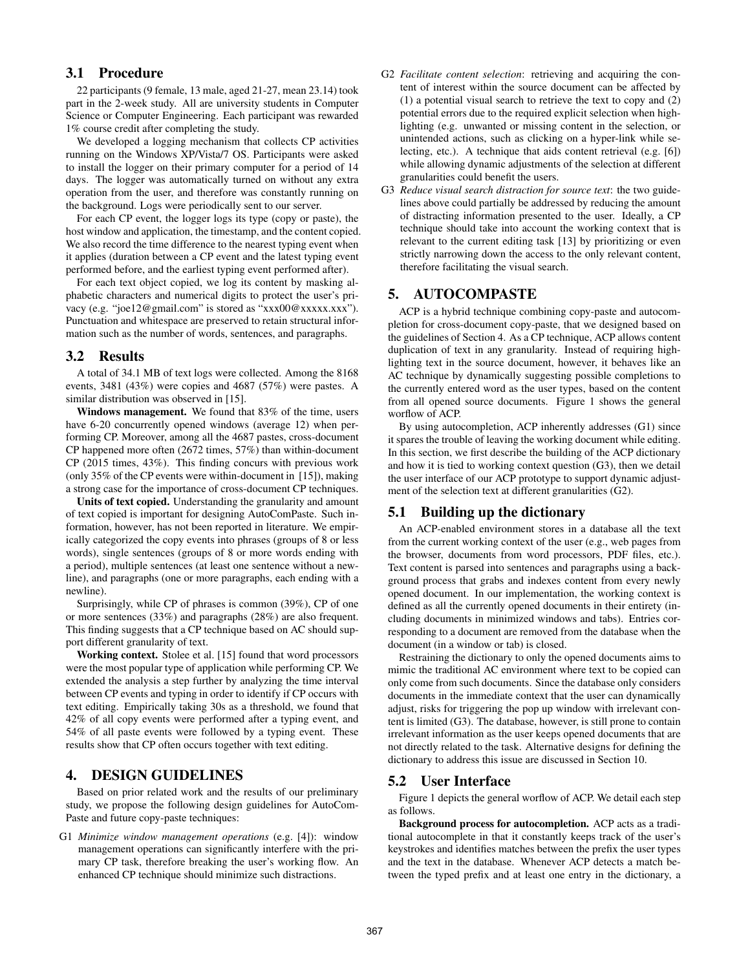# 3.1 Procedure

22 participants (9 female, 13 male, aged 21-27, mean 23.14) took part in the 2-week study. All are university students in Computer Science or Computer Engineering. Each participant was rewarded 1% course credit after completing the study.

We developed a logging mechanism that collects CP activities running on the Windows XP/Vista/7 OS. Participants were asked to install the logger on their primary computer for a period of 14 days. The logger was automatically turned on without any extra operation from the user, and therefore was constantly running on the background. Logs were periodically sent to our server.

For each CP event, the logger logs its type (copy or paste), the host window and application, the timestamp, and the content copied. We also record the time difference to the nearest typing event when it applies (duration between a CP event and the latest typing event performed before, and the earliest typing event performed after).

For each text object copied, we log its content by masking alphabetic characters and numerical digits to protect the user's privacy (e.g. "joe12@gmail.com" is stored as "xxx00@xxxxx.xxx"). Punctuation and whitespace are preserved to retain structural information such as the number of words, sentences, and paragraphs.

#### <span id="page-2-1"></span>3.2 Results

A total of 34.1 MB of text logs were collected. Among the 8168 events, 3481 (43%) were copies and 4687 (57%) were pastes. A similar distribution was observed in [\[15\]](#page-7-0).

Windows management. We found that 83% of the time, users have 6-20 concurrently opened windows (average 12) when performing CP. Moreover, among all the 4687 pastes, cross-document CP happened more often (2672 times, 57%) than within-document CP (2015 times, 43%). This finding concurs with previous work (only 35% of the CP events were within-document in [\[15\]](#page-7-0)), making a strong case for the importance of cross-document CP techniques.

Units of text copied. Understanding the granularity and amount of text copied is important for designing AutoComPaste. Such information, however, has not been reported in literature. We empirically categorized the copy events into phrases (groups of 8 or less words), single sentences (groups of 8 or more words ending with a period), multiple sentences (at least one sentence without a newline), and paragraphs (one or more paragraphs, each ending with a newline).

Surprisingly, while CP of phrases is common (39%), CP of one or more sentences (33%) and paragraphs (28%) are also frequent. This finding suggests that a CP technique based on AC should support different granularity of text.

Working context. Stolee et al. [\[15\]](#page-7-0) found that word processors were the most popular type of application while performing CP. We extended the analysis a step further by analyzing the time interval between CP events and typing in order to identify if CP occurs with text editing. Empirically taking 30s as a threshold, we found that 42% of all copy events were performed after a typing event, and 54% of all paste events were followed by a typing event. These results show that CP often occurs together with text editing.

# <span id="page-2-0"></span>4. DESIGN GUIDELINES

Based on prior related work and the results of our preliminary study, we propose the following design guidelines for AutoCom-Paste and future copy-paste techniques:

G1 *Minimize window management operations* (e.g. [\[4\]](#page-7-1)): window management operations can significantly interfere with the primary CP task, therefore breaking the user's working flow. An enhanced CP technique should minimize such distractions.

- G2 *Facilitate content selection*: retrieving and acquiring the content of interest within the source document can be affected by (1) a potential visual search to retrieve the text to copy and (2) potential errors due to the required explicit selection when highlighting (e.g. unwanted or missing content in the selection, or unintended actions, such as clicking on a hyper-link while selecting, etc.). A technique that aids content retrieval (e.g. [\[6\]](#page-7-4)) while allowing dynamic adjustments of the selection at different granularities could benefit the users.
- G3 *Reduce visual search distraction for source text*: the two guidelines above could partially be addressed by reducing the amount of distracting information presented to the user. Ideally, a CP technique should take into account the working context that is relevant to the current editing task [\[13\]](#page-7-10) by prioritizing or even strictly narrowing down the access to the only relevant content, therefore facilitating the visual search.

# 5. AUTOCOMPASTE

ACP is a hybrid technique combining copy-paste and autocompletion for cross-document copy-paste, that we designed based on the guidelines of Section [4.](#page-2-0) As a CP technique, ACP allows content duplication of text in any granularity. Instead of requiring highlighting text in the source document, however, it behaves like an AC technique by dynamically suggesting possible completions to the currently entered word as the user types, based on the content from all opened source documents. Figure [1](#page-1-0) shows the general worflow of ACP.

By using autocompletion, ACP inherently addresses (G1) since it spares the trouble of leaving the working document while editing. In this section, we first describe the building of the ACP dictionary and how it is tied to working context question (G3), then we detail the user interface of our ACP prototype to support dynamic adjustment of the selection text at different granularities (G2).

### 5.1 Building up the dictionary

An ACP-enabled environment stores in a database all the text from the current working context of the user (e.g., web pages from the browser, documents from word processors, PDF files, etc.). Text content is parsed into sentences and paragraphs using a background process that grabs and indexes content from every newly opened document. In our implementation, the working context is defined as all the currently opened documents in their entirety (including documents in minimized windows and tabs). Entries corresponding to a document are removed from the database when the document (in a window or tab) is closed.

Restraining the dictionary to only the opened documents aims to mimic the traditional AC environment where text to be copied can only come from such documents. Since the database only considers documents in the immediate context that the user can dynamically adjust, risks for triggering the pop up window with irrelevant content is limited (G3). The database, however, is still prone to contain irrelevant information as the user keeps opened documents that are not directly related to the task. Alternative designs for defining the dictionary to address this issue are discussed in Section [10.](#page-6-0)

## 5.2 User Interface

Figure [1](#page-1-0) depicts the general worflow of ACP. We detail each step as follows.

Background process for autocompletion. ACP acts as a traditional autocomplete in that it constantly keeps track of the user's keystrokes and identifies matches between the prefix the user types and the text in the database. Whenever ACP detects a match between the typed prefix and at least one entry in the dictionary, a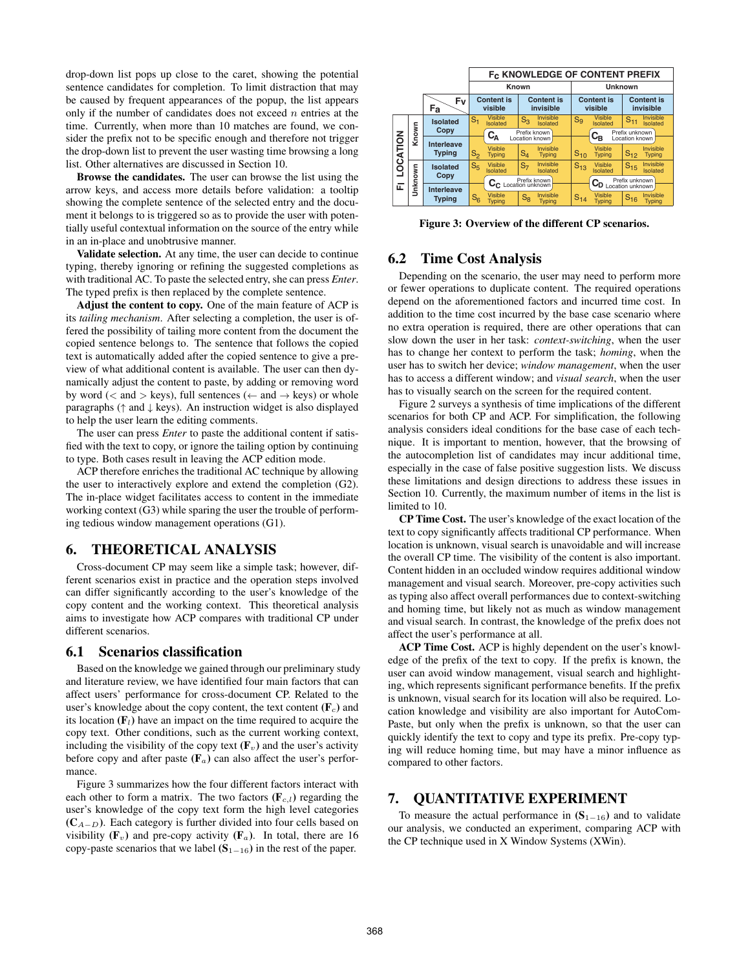drop-down list pops up close to the caret, showing the potential sentence candidates for completion. To limit distraction that may be caused by frequent appearances of the popup, the list appears only if the number of candidates does not exceed  $n$  entries at the time. Currently, when more than 10 matches are found, we consider the prefix not to be specific enough and therefore not trigger the drop-down list to prevent the user wasting time browsing a long list. Other alternatives are discussed in Section [10.](#page-6-0)

Browse the candidates. The user can browse the list using the arrow keys, and access more details before validation: a tooltip showing the complete sentence of the selected entry and the document it belongs to is triggered so as to provide the user with potentially useful contextual information on the source of the entry while in an in-place and unobtrusive manner.

Validate selection. At any time, the user can decide to continue typing, thereby ignoring or refining the suggested completions as with traditional AC. To paste the selected entry, she can press *Enter*. The typed prefix is then replaced by the complete sentence.

Adjust the content to copy. One of the main feature of ACP is its *tailing mechanism*. After selecting a completion, the user is offered the possibility of tailing more content from the document the copied sentence belongs to. The sentence that follows the copied text is automatically added after the copied sentence to give a preview of what additional content is available. The user can then dynamically adjust the content to paste, by adding or removing word by word ( $\lt$  and  $>$  keys), full sentences ( $\leftarrow$  and  $\rightarrow$  keys) or whole paragraphs ( $\uparrow$  and  $\downarrow$  keys). An instruction widget is also displayed to help the user learn the editing comments.

The user can press *Enter* to paste the additional content if satisfied with the text to copy, or ignore the tailing option by continuing to type. Both cases result in leaving the ACP edition mode.

ACP therefore enriches the traditional AC technique by allowing the user to interactively explore and extend the completion (G2). The in-place widget facilitates access to content in the immediate working context (G3) while sparing the user the trouble of performing tedious window management operations (G1).

#### 6. THEORETICAL ANALYSIS

Cross-document CP may seem like a simple task; however, different scenarios exist in practice and the operation steps involved can differ significantly according to the user's knowledge of the copy content and the working context. This theoretical analysis aims to investigate how ACP compares with traditional CP under different scenarios.

#### <span id="page-3-1"></span>6.1 Scenarios classification

Based on the knowledge we gained through our preliminary study and literature review, we have identified four main factors that can affect users' performance for cross-document CP. Related to the user's knowledge about the copy content, the text content  $(F<sub>c</sub>)$  and its location  $(F<sub>l</sub>)$  have an impact on the time required to acquire the copy text. Other conditions, such as the current working context, including the visibility of the copy text  $(\mathbf{F}_v)$  and the user's activity before copy and after paste  $(F_a)$  can also affect the user's performance.

Figure [3](#page-3-0) summarizes how the four different factors interact with each other to form a matrix. The two factors  $(\mathbf{F}_{c,l})$  regarding the user's knowledge of the copy text form the high level categories  $(C_{A-D})$ . Each category is further divided into four cells based on visibility ( $\mathbf{F}_v$ ) and pre-copy activity ( $\mathbf{F}_a$ ). In total, there are 16 copy-paste scenarios that we label  $(S_{1-16})$  in the rest of the paper.

|          |          |                                            | F <sub>C</sub> KNOWLEDGE OF CONTENT PREFIX |                                 |                                |                            |                                                   |                                 |                                        |  |
|----------|----------|--------------------------------------------|--------------------------------------------|---------------------------------|--------------------------------|----------------------------|---------------------------------------------------|---------------------------------|----------------------------------------|--|
|          |          |                                            | Known                                      |                                 |                                | <b>Unknown</b>             |                                                   |                                 |                                        |  |
|          | Fv<br>Fa |                                            | <b>Content is</b><br>visible               |                                 | <b>Content is</b><br>invisible |                            | <b>Content is</b><br>visible                      |                                 | <b>Content is</b><br>invisible         |  |
| LOCATION | Known    | <b>Isolated</b>                            | $\rm{S_{1}}$                               | <b>Visible</b><br>Isolated      | $S_3$                          | Invisible<br>Isolated      | $S_9$                                             | <b>Visible</b><br>Isolated      | Invisible<br>$S_{11}$<br>Isolated      |  |
|          |          | Copy<br><b>Interleave</b><br><b>Typing</b> | $C_A$<br>Location known                    |                                 |                                | Prefix known               |                                                   | $C_{B}$                         | Prefix unknown<br>Location known       |  |
|          |          |                                            | S <sub>2</sub>                             | <b>Visible</b><br><b>Typing</b> | $S_4$                          | Invisible<br><b>Typing</b> | $S_{10}$                                          | <b>Visible</b><br><b>Typing</b> | Invisible<br>$S_{12}$<br><b>Typing</b> |  |
|          | Unknown  | <b>Isolated</b><br>Copy                    | S <sub>5</sub>                             | <b>Visible</b><br>Isolated      | $S_{7}$                        | Invisible<br>Isolated      | $S_{13}$                                          | <b>Visible</b><br>Isolated      | Invisible<br>$S_{15}$<br>Isolated      |  |
|          |          |                                            | C <sub>C</sub> Location unknown            |                                 |                                |                            | Prefix unknown<br>$C_{D\text{ Location unknown}}$ |                                 |                                        |  |
| 囸        |          | <b>Interleave</b>                          |                                            |                                 |                                |                            |                                                   |                                 |                                        |  |
|          |          | <b>Typing</b>                              | $S_6$                                      | Visible<br><b>Typing</b>        | $S_8$                          | Invisible<br><b>Typing</b> | $S_{14}$                                          | <b>Visible</b><br><b>Typing</b> | Invisible<br>$S_{16}$<br><b>Typing</b> |  |

<span id="page-3-0"></span>Figure 3: Overview of the different CP scenarios.

# 6.2 Time Cost Analysis

Depending on the scenario, the user may need to perform more or fewer operations to duplicate content. The required operations depend on the aforementioned factors and incurred time cost. In addition to the time cost incurred by the base case scenario where no extra operation is required, there are other operations that can slow down the user in her task: *context-switching*, when the user has to change her context to perform the task; *homing*, when the user has to switch her device; *window management*, when the user has to access a different window; and *visual search*, when the user has to visually search on the screen for the required content.

Figure [2](#page-4-0) surveys a synthesis of time implications of the different scenarios for both CP and ACP. For simplification, the following analysis considers ideal conditions for the base case of each technique. It is important to mention, however, that the browsing of the autocompletion list of candidates may incur additional time, especially in the case of false positive suggestion lists. We discuss these limitations and design directions to address these issues in Section [10.](#page-6-0) Currently, the maximum number of items in the list is limited to 10.

CP Time Cost. The user's knowledge of the exact location of the text to copy significantly affects traditional CP performance. When location is unknown, visual search is unavoidable and will increase the overall CP time. The visibility of the content is also important. Content hidden in an occluded window requires additional window management and visual search. Moreover, pre-copy activities such as typing also affect overall performances due to context-switching and homing time, but likely not as much as window management and visual search. In contrast, the knowledge of the prefix does not affect the user's performance at all.

ACP Time Cost. ACP is highly dependent on the user's knowledge of the prefix of the text to copy. If the prefix is known, the user can avoid window management, visual search and highlighting, which represents significant performance benefits. If the prefix is unknown, visual search for its location will also be required. Location knowledge and visibility are also important for AutoCom-Paste, but only when the prefix is unknown, so that the user can quickly identify the text to copy and type its prefix. Pre-copy typing will reduce homing time, but may have a minor influence as compared to other factors.

# 7. QUANTITATIVE EXPERIMENT

To measure the actual performance in  $(S_{1-16})$  and to validate our analysis, we conducted an experiment, comparing ACP with the CP technique used in X Window Systems (XWin).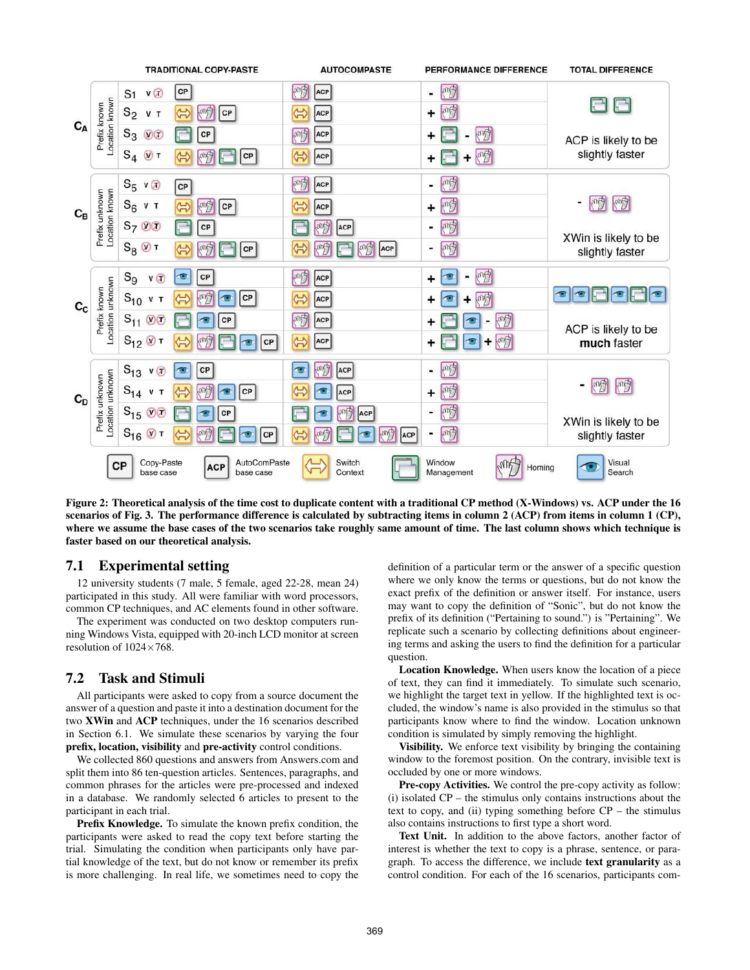

<span id="page-4-0"></span>Figure 2: Theoretical analysis of the time cost to duplicate content with a traditional CP method (X-Windows) vs. ACP under the 16 scenarios of Fig. [3.](#page-3-0) The performance difference is calculated by subtracting items in column 2 (ACP) from items in column 1 (CP), where we assume the base cases of the two scenarios take roughly same amount of time. The last column shows which technique is faster based on our theoretical analysis.

## 7.1 Experimental setting

12 university students (7 male, 5 female, aged 22-28, mean 24) participated in this study. All were familiar with word processors, common CP techniques, and AC elements found in other software.

The experiment was conducted on two desktop computers running Windows Vista, equipped with 20-inch LCD monitor at screen resolution of  $1024\times768$ .

# 7.2 Task and Stimuli

All participants were asked to copy from a source document the answer of a question and paste it into a destination document for the two XWin and ACP techniques, under the 16 scenarios described in Section [6.1.](#page-3-1) We simulate these scenarios by varying the four prefix, location, visibility and pre-activity control conditions.

We collected 860 questions and answers from Answers.com and split them into 86 ten-question articles. Sentences, paragraphs, and common phrases for the articles were pre-processed and indexed in a database. We randomly selected 6 articles to present to the participant in each trial.

Prefix Knowledge. To simulate the known prefix condition, the participants were asked to read the copy text before starting the trial. Simulating the condition when participants only have partial knowledge of the text, but do not know or remember its prefix is more challenging. In real life, we sometimes need to copy the

definition of a particular term or the answer of a specific question where we only know the terms or questions, but do not know the exact prefix of the definition or answer itself. For instance, users may want to copy the definition of "Sonic", but do not know the prefix of its definition ("Pertaining to sound.") is "Pertaining". We replicate such a scenario by collecting definitions about engineering terms and asking the users to find the definition for a particular question.

Location Knowledge. When users know the location of a piece of text, they can find it immediately. To simulate such scenario, we highlight the target text in yellow. If the highlighted text is occluded, the window's name is also provided in the stimulus so that participants know where to find the window. Location unknown condition is simulated by simply removing the highlight.

Visibility. We enforce text visibility by bringing the containing window to the foremost position. On the contrary, invisible text is occluded by one or more windows.

Pre-copy Activities. We control the pre-copy activity as follow: (i) isolated CP – the stimulus only contains instructions about the text to copy, and (ii) typing something before  $CP -$  the stimulus also contains instructions to first type a short word.

Text Unit. In addition to the above factors, another factor of interest is whether the text to copy is a phrase, sentence, or paragraph. To access the difference, we include text granularity as a control condition. For each of the 16 scenarios, participants com-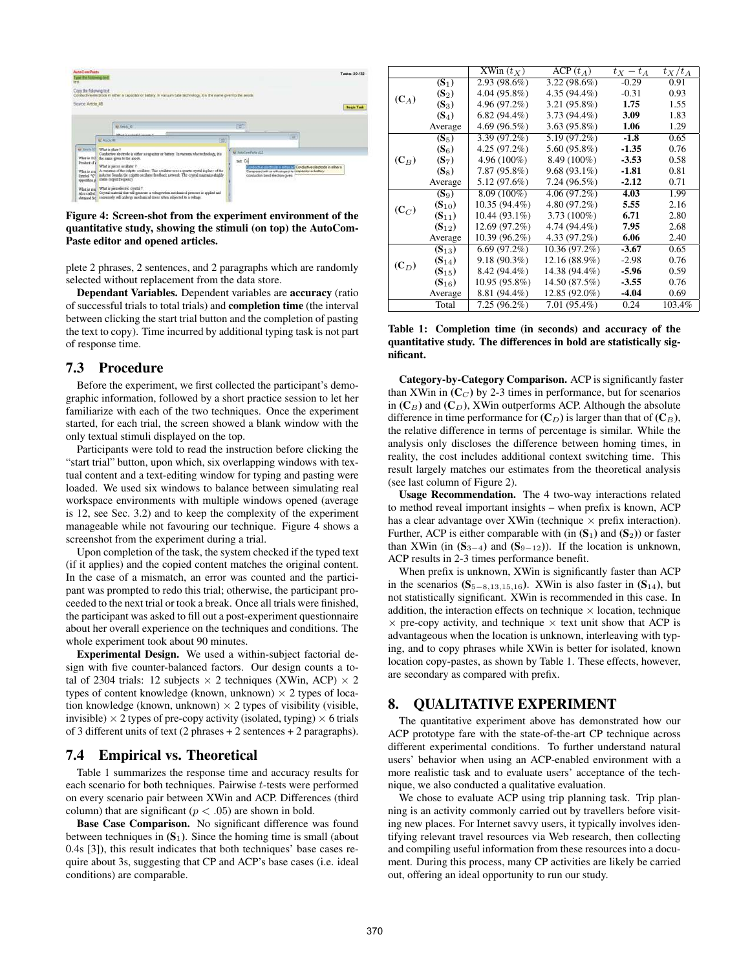

<span id="page-5-0"></span>Figure 4: Screen-shot from the experiment environment of the quantitative study, showing the stimuli (on top) the AutoCom-Paste editor and opened articles.

plete 2 phrases, 2 sentences, and 2 paragraphs which are randomly selected without replacement from the data store.

Dependant Variables. Dependent variables are accuracy (ratio of successful trials to total trials) and completion time (the interval between clicking the start trial button and the completion of pasting the text to copy). Time incurred by additional typing task is not part of response time.

#### 7.3 Procedure

Before the experiment, we first collected the participant's demographic information, followed by a short practice session to let her familiarize with each of the two techniques. Once the experiment started, for each trial, the screen showed a blank window with the only textual stimuli displayed on the top.

Participants were told to read the instruction before clicking the "start trial" button, upon which, six overlapping windows with textual content and a text-editing window for typing and pasting were loaded. We used six windows to balance between simulating real workspace environments with multiple windows opened (average is 12, see Sec. [3.2\)](#page-2-1) and to keep the complexity of the experiment manageable while not favouring our technique. Figure [4](#page-5-0) shows a screenshot from the experiment during a trial.

Upon completion of the task, the system checked if the typed text (if it applies) and the copied content matches the original content. In the case of a mismatch, an error was counted and the participant was prompted to redo this trial; otherwise, the participant proceeded to the next trial or took a break. Once all trials were finished, the participant was asked to fill out a post-experiment questionnaire about her overall experience on the techniques and conditions. The whole experiment took about 90 minutes.

Experimental Design. We used a within-subject factorial design with five counter-balanced factors. Our design counts a total of 2304 trials: 12 subjects  $\times$  2 techniques (XWin, ACP)  $\times$  2 types of content knowledge (known, unknown)  $\times$  2 types of location knowledge (known, unknown)  $\times$  2 types of visibility (visible, invisible)  $\times$  2 types of pre-copy activity (isolated, typing)  $\times$  6 trials of 3 different units of text (2 phrases  $+ 2$  sentences  $+ 2$  paragraphs).

#### 7.4 Empirical vs. Theoretical

Table 1 summarizes the response time and accuracy results for each scenario for both techniques. Pairwise t-tests were performed on every scenario pair between XWin and ACP. Differences (third column) that are significant ( $p < .05$ ) are shown in bold.

Base Case Comparison. No significant difference was found between techniques in  $(S_1)$ . Since the homing time is small (about 0.4s [\[3\]](#page-7-13)), this result indicates that both techniques' base cases require about 3s, suggesting that CP and ACP's base cases (i.e. ideal conditions) are comparable.

|         |            | $XWin(t_X)$    | $\text{ACP}(t_A)$ | $t_X - t_A$ | $t_X/t_A$ |
|---------|------------|----------------|-------------------|-------------|-----------|
|         | $(S_1)$    | 2.93 (98.6%)   | $3.22(98.6\%)$    | $-0.29$     | 0.91      |
|         | $(S_2)$    | 4.04 (95.8%)   | $4.35(94.4\%)$    | $-0.31$     | 0.93      |
| $(C_A)$ | $(S_3)$    | 4.96 (97.2%)   | $3.21(95.8\%)$    | 1.75        | 1.55      |
|         | $(S_4)$    | $6.82(94.4\%)$ | $3.73(94.4\%)$    | 3.09        | 1.83      |
|         | Average    | 4.69(96.5%)    | 3.63 (95.8%)      | 1.06        | 1.29      |
|         | $(S_5)$    | 3.39 (97.2%)   | 5.19 (97.2%)      | $-1.8$      | 0.65      |
|         | $(S_6)$    | $4.25(97.2\%)$ | 5.60 (95.8%)      | $-1.35$     | 0.76      |
| $(C_B)$ | $(S_7)$    | $4.96(100\%)$  | $8.49(100\%)$     | $-3.53$     | 0.58      |
|         | $(S_8)$    | 7.87 (95.8%)   | $9.68(93.1\%)$    | $-1.81$     | 0.81      |
|         | Average    | 5.12 (97.6%)   | $7.24(96.5\%)$    | $-2.12$     | 0.71      |
|         | $(S_9)$    | $8.09(100\%)$  | 4.06(97.2%)       | 4.03        | 1.99      |
|         | $(S_{10})$ | 10.35 (94.4%)  | $4.80(97.2\%)$    | 5.55        | 2.16      |
| $(C_C)$ | $(S_{11})$ | 10.44 (93.1%)  | $3.73(100\%)$     | 6.71        | 2.80      |
|         | $(S_{12})$ | 12.69 (97.2%)  | 4.74 (94.4%)      | 7.95        | 2.68      |
|         | Average    | 10.39 (96.2%)  | 4.33 (97.2%)      | 6.06        | 2.40      |
|         | $(S_{13})$ | 6.69(97.2%)    | 10.36(97.2%)      | $-3.67$     | 0.65      |
| $(C_D)$ | $(S_{14})$ | $9.18(90.3\%)$ | 12.16 (88.9%)     | $-2.98$     | 0.76      |
|         | $(S_{15})$ | 8.42 (94.4%)   | 14.38 (94.4%)     | $-5.96$     | 0.59      |
|         | $(S_{16})$ | 10.95 (95.8%)  | 14.50 (87.5%)     | $-3.55$     | 0.76      |
|         | Average    | 8.81 (94.4%)   | 12.85 (92.0%)     | $-4.04$     | 0.69      |
|         | Total      | $7.25(96.2\%)$ | $7.01(95.4\%)$    | 0.24        | 103.4%    |

#### Table 1: Completion time (in seconds) and accuracy of the quantitative study. The differences in bold are statistically significant.

Category-by-Category Comparison. ACP is significantly faster than XWin in  $(C_C)$  by 2-3 times in performance, but for scenarios in  $(C_B)$  and  $(C_D)$ , XWin outperforms ACP. Although the absolute difference in time performance for  $(C_D)$  is larger than that of  $(C_B)$ , the relative difference in terms of percentage is similar. While the analysis only discloses the difference between homing times, in reality, the cost includes additional context switching time. This result largely matches our estimates from the theoretical analysis (see last column of Figure [2\)](#page-4-0).

Usage Recommendation. The 4 two-way interactions related to method reveal important insights – when prefix is known, ACP has a clear advantage over XWin (technique  $\times$  prefix interaction). Further, ACP is either comparable with (in  $(S_1)$ ) and  $(S_2)$ ) or faster than XWin (in  $(S_{3-4})$  and  $(S_{9-12})$ ). If the location is unknown, ACP results in 2-3 times performance benefit.

When prefix is unknown, XWin is significantly faster than ACP in the scenarios (S<sub>5−8,13,15,16</sub>). XWin is also faster in  $(S<sub>14</sub>)$ , but not statistically significant. XWin is recommended in this case. In addition, the interaction effects on technique  $\times$  location, technique  $\times$  pre-copy activity, and technique  $\times$  text unit show that ACP is advantageous when the location is unknown, interleaving with typing, and to copy phrases while XWin is better for isolated, known location copy-pastes, as shown by Table 1. These effects, however, are secondary as compared with prefix.

# 8. QUALITATIVE EXPERIMENT

The quantitative experiment above has demonstrated how our ACP prototype fare with the state-of-the-art CP technique across different experimental conditions. To further understand natural users' behavior when using an ACP-enabled environment with a more realistic task and to evaluate users' acceptance of the technique, we also conducted a qualitative evaluation.

We chose to evaluate ACP using trip planning task. Trip planning is an activity commonly carried out by travellers before visiting new places. For Internet savvy users, it typically involves identifying relevant travel resources via Web research, then collecting and compiling useful information from these resources into a document. During this process, many CP activities are likely be carried out, offering an ideal opportunity to run our study.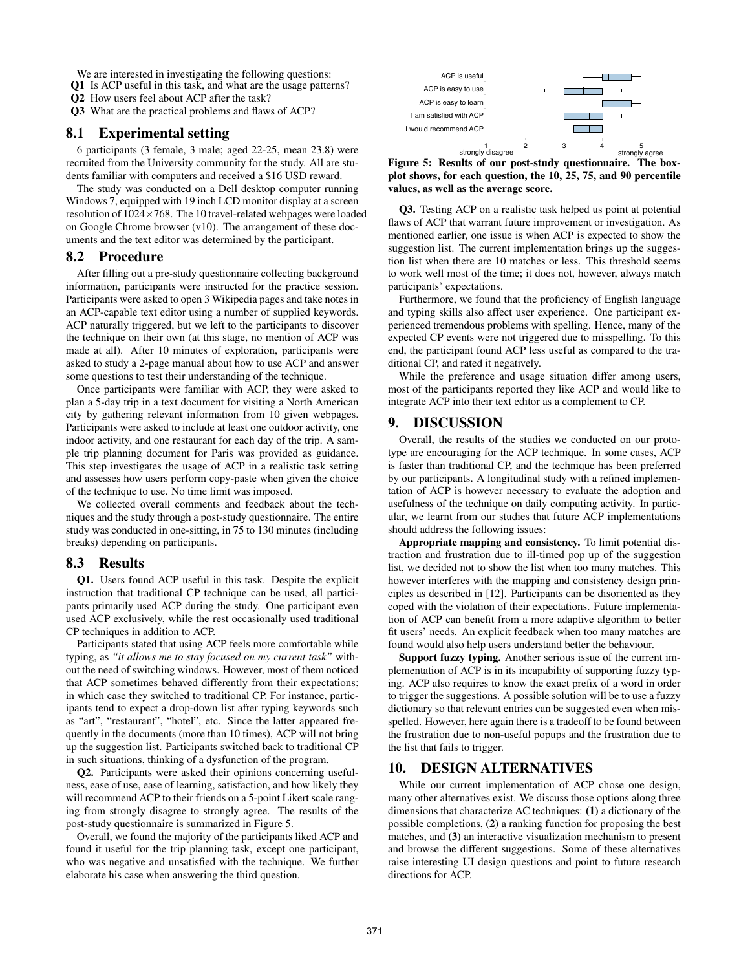We are interested in investigating the following questions:

Q1 Is ACP useful in this task, and what are the usage patterns?

Q2 How users feel about ACP after the task?

Q3 What are the practical problems and flaws of ACP?

#### 8.1 Experimental setting

6 participants (3 female, 3 male; aged 22-25, mean 23.8) were recruited from the University community for the study. All are students familiar with computers and received a \$16 USD reward.

The study was conducted on a Dell desktop computer running Windows 7, equipped with 19 inch LCD monitor display at a screen resolution of 1024×768. The 10 travel-related webpages were loaded on Google Chrome browser (v10). The arrangement of these documents and the text editor was determined by the participant.

#### 8.2 Procedure

After filling out a pre-study questionnaire collecting background information, participants were instructed for the practice session. Participants were asked to open 3 Wikipedia pages and take notes in an ACP-capable text editor using a number of supplied keywords. ACP naturally triggered, but we left to the participants to discover the technique on their own (at this stage, no mention of ACP was made at all). After 10 minutes of exploration, participants were asked to study a 2-page manual about how to use ACP and answer some questions to test their understanding of the technique.

Once participants were familiar with ACP, they were asked to plan a 5-day trip in a text document for visiting a North American city by gathering relevant information from 10 given webpages. Participants were asked to include at least one outdoor activity, one indoor activity, and one restaurant for each day of the trip. A sample trip planning document for Paris was provided as guidance. This step investigates the usage of ACP in a realistic task setting and assesses how users perform copy-paste when given the choice of the technique to use. No time limit was imposed.

We collected overall comments and feedback about the techniques and the study through a post-study questionnaire. The entire study was conducted in one-sitting, in 75 to 130 minutes (including breaks) depending on participants.

#### 8.3 Results

Q1. Users found ACP useful in this task. Despite the explicit instruction that traditional CP technique can be used, all participants primarily used ACP during the study. One participant even used ACP exclusively, while the rest occasionally used traditional CP techniques in addition to ACP.

Participants stated that using ACP feels more comfortable while typing, as *"it allows me to stay focused on my current task"* without the need of switching windows. However, most of them noticed that ACP sometimes behaved differently from their expectations; in which case they switched to traditional CP. For instance, participants tend to expect a drop-down list after typing keywords such as "art", "restaurant", "hotel", etc. Since the latter appeared frequently in the documents (more than 10 times), ACP will not bring up the suggestion list. Participants switched back to traditional CP in such situations, thinking of a dysfunction of the program.

Q2. Participants were asked their opinions concerning usefulness, ease of use, ease of learning, satisfaction, and how likely they will recommend ACP to their friends on a 5-point Likert scale ranging from strongly disagree to strongly agree. The results of the post-study questionnaire is summarized in Figure [5.](#page-6-1)

Overall, we found the majority of the participants liked ACP and found it useful for the trip planning task, except one participant, who was negative and unsatisfied with the technique. We further elaborate his case when answering the third question.



<span id="page-6-1"></span>Figure 5: Results of our post-study questionnaire. The boxplot shows, for each question, the 10, 25, 75, and 90 percentile values, as well as the average score.

Q3. Testing ACP on a realistic task helped us point at potential flaws of ACP that warrant future improvement or investigation. As mentioned earlier, one issue is when ACP is expected to show the suggestion list. The current implementation brings up the suggestion list when there are 10 matches or less. This threshold seems to work well most of the time; it does not, however, always match participants' expectations.

Furthermore, we found that the proficiency of English language and typing skills also affect user experience. One participant experienced tremendous problems with spelling. Hence, many of the expected CP events were not triggered due to misspelling. To this end, the participant found ACP less useful as compared to the traditional CP, and rated it negatively.

While the preference and usage situation differ among users, most of the participants reported they like ACP and would like to integrate ACP into their text editor as a complement to CP.

#### 9. DISCUSSION

Overall, the results of the studies we conducted on our prototype are encouraging for the ACP technique. In some cases, ACP is faster than traditional CP, and the technique has been preferred by our participants. A longitudinal study with a refined implementation of ACP is however necessary to evaluate the adoption and usefulness of the technique on daily computing activity. In particular, we learnt from our studies that future ACP implementations should address the following issues:

Appropriate mapping and consistency. To limit potential distraction and frustration due to ill-timed pop up of the suggestion list, we decided not to show the list when too many matches. This however interferes with the mapping and consistency design principles as described in [\[12\]](#page-7-14). Participants can be disoriented as they coped with the violation of their expectations. Future implementation of ACP can benefit from a more adaptive algorithm to better fit users' needs. An explicit feedback when too many matches are found would also help users understand better the behaviour.

Support fuzzy typing. Another serious issue of the current implementation of ACP is in its incapability of supporting fuzzy typing. ACP also requires to know the exact prefix of a word in order to trigger the suggestions. A possible solution will be to use a fuzzy dictionary so that relevant entries can be suggested even when misspelled. However, here again there is a tradeoff to be found between the frustration due to non-useful popups and the frustration due to the list that fails to trigger.

# <span id="page-6-0"></span>10. DESIGN ALTERNATIVES

While our current implementation of ACP chose one design, many other alternatives exist. We discuss those options along three dimensions that characterize AC techniques: (1) a dictionary of the possible completions, (2) a ranking function for proposing the best matches, and (3) an interactive visualization mechanism to present and browse the different suggestions. Some of these alternatives raise interesting UI design questions and point to future research directions for ACP.